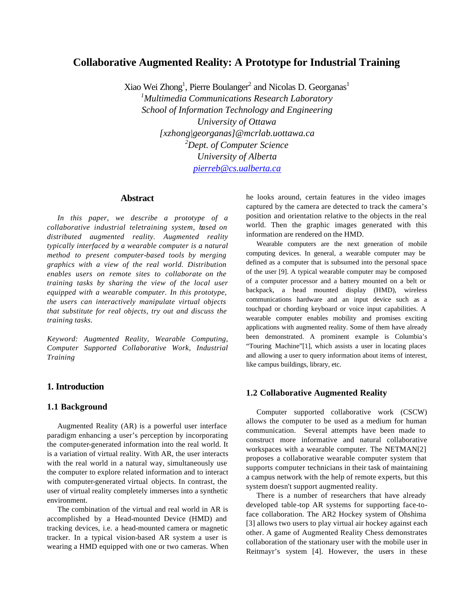# **Collaborative Augmented Reality: A Prototype for Industrial Training**

Xiao Wei Zhong<sup>1</sup>, Pierre Boulanger<sup>2</sup> and Nicolas D. Georganas<sup>1</sup> *<sup>1</sup>Multimedia Communications Research Laboratory School of Information Technology and Engineering University of Ottawa [xzhong|georganas]@mcrlab.uottawa.ca <sup>2</sup>Dept. of Computer Science University of Alberta pierreb@cs.ualberta.ca*

#### **Abstract**

*In this paper, we describe a prototype of a collaborative industrial teletraining system, based on distributed augmented reality. Augmented reality typically interfaced by a wearable computer is a natural method to present computer-based tools by merging graphics with a view of the real world. Distribution enables users on remote sites to collaborate on the training tasks by sharing the view of the local user equipped with a wearable computer. In this prototype, the users can interactively manipulate virtual objects that substitute for real objects, try out and discuss the training tasks.*

*Keyword: Augmented Reality, Wearable Computing, Computer Supported Collaborative Work, Industrial Training*

## **1. Introduction**

### **1.1 Background**

Augmented Reality (AR) is a powerful user interface paradigm enhancing a user's perception by incorporating the computer-generated information into the real world. It is a variation of virtual reality. With AR, the user interacts with the real world in a natural way, simultaneously use the computer to explore related information and to interact with computer-generated virtual objects. In contrast, the user of virtual reality completely immerses into a synthetic environment.

The combination of the virtual and real world in AR is accomplished by a Head-mounted Device (HMD) and tracking devices, i.e. a head-mounted camera or magnetic tracker. In a typical vision-based AR system a user is wearing a HMD equipped with one or two cameras. When he looks around, certain features in the video images captured by the camera are detected to track the camera's position and orientation relative to the objects in the real world. Then the graphic images generated with this information are rendered on the HMD.

Wearable computers are the next generation of mobile computing devices. In general, a wearable computer may be defined as a computer that is subsumed into the personal space of the user [9]. A typical wearable computer may be composed of a computer processor and a battery mounted on a belt or backpack, a head mounted display (HMD), wireless communications hardware and an input device such as a touchpad or chording keyboard or voice input capabilities. A wearable computer enables mobility and promises exciting applications with augmented reality. Some of them have already been demonstrated. A prominent example is Columbia's "Touring Machine"[1], which assists a user in locating places and allowing a user to query information about items of interest, like campus buildings, library, etc.

#### **1.2 Collaborative Augmented Reality**

Computer supported collaborative work (CSCW) allows the computer to be used as a medium for human communication. Several attempts have been made to construct more informative and natural collaborative workspaces with a wearable computer. The NETMAN[2] proposes a collaborative wearable computer system that supports computer technicians in their task of maintaining a campus network with the help of remote experts, but this system doesn't support augmented reality.

There is a number of researchers that have already developed table-top AR systems for supporting face-toface collaboration. The AR2 Hockey system of Ohshima [3] allows two users to play virtual air hockey against each other. A game of Augmented Reality Chess demonstrates collaboration of the stationary user with the mobile user in Reitmayr's system [4]. However, the users in these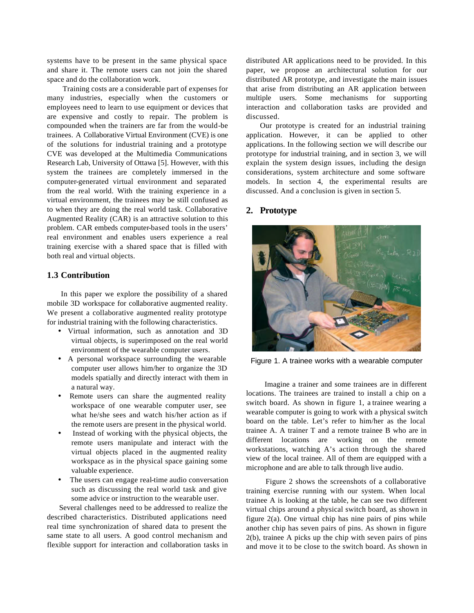systems have to be present in the same physical space and share it. The remote users can not join the shared space and do the collaboration work.

Training costs are a considerable part of expenses for many industries, especially when the customers or employees need to learn to use equipment or devices that are expensive and costly to repair. The problem is compounded when the trainers are far from the would-be trainees. A Collaborative Virtual Environment (CVE) is one of the solutions for industrial training and a prototype CVE was developed at the Multimedia Communications Research Lab, University of Ottawa [5]. However, with this system the trainees are completely immersed in the computer-generated virtual environment and separated from the real world. With the training experience in a virtual environment, the trainees may be still confused as to when they are doing the real world task. Collaborative Augmented Reality (CAR) is an attractive solution to this problem. CAR embeds computer-based tools in the users' real environment and enables users experience a real training exercise with a shared space that is filled with both real and virtual objects.

### **1.3 Contribution**

In this paper we explore the possibility of a shared mobile 3D workspace for collaborative augmented reality. We present a collaborative augmented reality prototype for industrial training with the following characteristics.

- Virtual information, such as annotation and 3D virtual objects, is superimposed on the real world environment of the wearable computer users.
- A personal workspace surrounding the wearable computer user allows him/her to organize the 3D models spatially and directly interact with them in a natural way.
- Remote users can share the augmented reality workspace of one wearable computer user, see what he/she sees and watch his/her action as if the remote users are present in the physical world.
- Instead of working with the physical objects, the remote users manipulate and interact with the virtual objects placed in the augmented reality workspace as in the physical space gaining some valuable experience.
- The users can engage real-time audio conversation such as discussing the real world task and give some advice or instruction to the wearable user.

Several challenges need to be addressed to realize the described characteristics. Distributed applications need real time synchronization of shared data to present the same state to all users. A good control mechanism and flexible support for interaction and collaboration tasks in distributed AR applications need to be provided. In this paper, we propose an architectural solution for our distributed AR prototype, and investigate the main issues that arise from distributing an AR application between multiple users. Some mechanisms for supporting interaction and collaboration tasks are provided and discussed.

Our prototype is created for an industrial training application. However, it can be applied to other applications. In the following section we will describe our prototype for industrial training, and in section 3, we will explain the system design issues, including the design considerations, system architecture and some software models. In section 4, the experimental results are discussed. And a conclusion is given in section 5.

### **2. Prototype**



Figure 1. A trainee works with a wearable computer

 Imagine a trainer and some trainees are in different locations. The trainees are trained to install a chip on a switch board. As shown in figure 1, a trainee wearing a wearable computer is going to work with a physical switch board on the table. Let's refer to him/her as the local trainee A. A trainer T and a remote trainee B who are in different locations are working on the remote workstations, watching A's action through the shared view of the local trainee. All of them are equipped with a microphone and are able to talk through live audio.

 Figure 2 shows the screenshots of a collaborative training exercise running with our system. When local trainee A is looking at the table, he can see two different virtual chips around a physical switch board, as shown in figure 2(a). One virtual chip has nine pairs of pins while another chip has seven pairs of pins. As shown in figure 2(b), trainee A picks up the chip with seven pairs of pins and move it to be close to the switch board. As shown in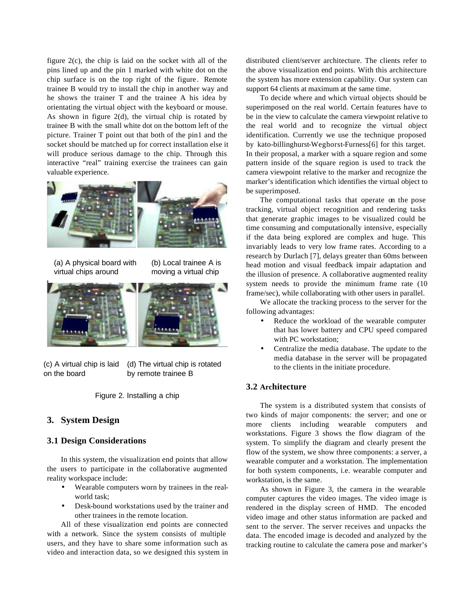figure 2(c), the chip is laid on the socket with all of the pins lined up and the pin 1 marked with white dot on the chip surface is on the top right of the figure. Remote trainee B would try to install the chip in another way and he shows the trainer T and the trainee A his idea by orientating the virtual object with the keyboard or mouse. As shown in figure 2(d), the virtual chip is rotated by trainee B with the small white dot on the bottom left of the picture. Trainer T point out that both of the pin1 and the socket should be matched up for correct installation else it will produce serious damage to the chip. Through this interactive "real" training exercise the trainees can gain valuable experience.



- (a) A physical board with virtual chips around
- (b) Local trainee A is moving a virtual chip



(c) A virtual chip is laid on the board (d) The virtual chip is rotated by remote trainee B

Figure 2. Installing a chip

### **3. System Design**

#### **3.1 Design Considerations**

In this system, the visualization end points that allow the users to participate in the collaborative augmented reality workspace include:

- Wearable computers worn by trainees in the realworld task;
- Desk-bound workstations used by the trainer and other trainees in the remote location.

All of these visualization end points are connected with a network. Since the system consists of multiple users, and they have to share some information such as video and interaction data, so we designed this system in distributed client/server architecture. The clients refer to the above visualization end points. With this architecture the system has more extension capability. Our system can support 64 clients at maximum at the same time.

To decide where and which virtual objects should be superimposed on the real world. Certain features have to be in the view to calculate the camera viewpoint relative to the real world and to recognize the virtual object identification. Currently we use the technique proposed by kato-billinghurst-Weghorst-Furness[6] for this target. In their proposal, a marker with a square region and some pattern inside of the square region is used to track the camera viewpoint relative to the marker and recognize the marker's identification which identifies the virtual object to be superimposed.

The computational tasks that operate on the pose tracking, virtual object recognition and rendering tasks that generate graphic images to be visualized could be time consuming and computationally intensive, especially if the data being explored are complex and huge. This invariably leads to very low frame rates. According to a research by Durlach [7], delays greater than 60ms between head motion and visual feedback impair adaptation and the illusion of presence. A collaborative augmented reality system needs to provide the minimum frame rate (10 frame/sec), while collaborating with other users in parallel.

We allocate the tracking process to the server for the following advantages:

- Reduce the workload of the wearable computer that has lower battery and CPU speed compared with PC workstation;
- Centralize the media database. The update to the media database in the server will be propagated to the clients in the initiate procedure.

### **3.2 Architecture**

The system is a distributed system that consists of two kinds of major components: the server; and one or more clients including wearable computers and workstations. Figure 3 shows the flow diagram of the system. To simplify the diagram and clearly present the flow of the system, we show three components: a server, a wearable computer and a workstation. The implementation for both system components, i.e. wearable computer and workstation, is the same.

As shown in Figure 3, the camera in the wearable computer captures the video images. The video image is rendered in the display screen of HMD. The encoded video image and other status information are packed and sent to the server. The server receives and unpacks the data. The encoded image is decoded and analyzed by the tracking routine to calculate the camera pose and marker's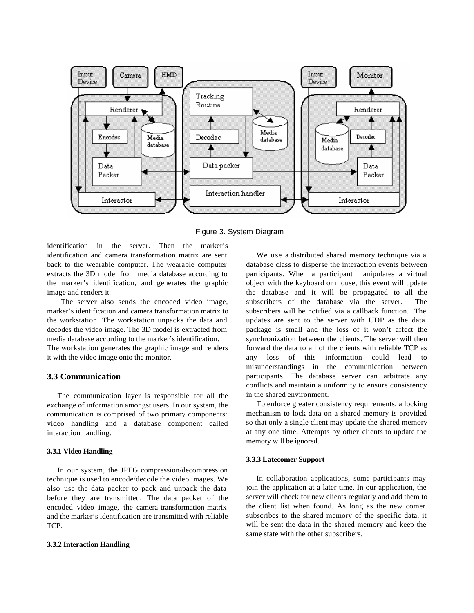

Figure 3. System Diagram

identification in the server. Then the marker's identification and camera transformation matrix are sent back to the wearable computer. The wearable computer extracts the 3D model from media database according to the marker's identification, and generates the graphic image and renders it.

The server also sends the encoded video image, marker's identification and camera transformation matrix to the workstation. The workstation unpacks the data and decodes the video image. The 3D model is extracted from media database according to the marker's identification.

The workstation generates the graphic image and renders it with the video image onto the monitor.

### **3.3 Communication**

The communication layer is responsible for all the exchange of information amongst users. In our system, the communication is comprised of two primary components: video handling and a database component called interaction handling.

#### **3.3.1 Video Handling**

In our system, the JPEG compression/decompression technique is used to encode/decode the video images. We also use the data packer to pack and unpack the data before they are transmitted. The data packet of the encoded video image, the camera transformation matrix and the marker's identification are transmitted with reliable TCP.

#### **3.3.2 Interaction Handling**

We use a distributed shared memory technique via a database class to disperse the interaction events between participants. When a participant manipulates a virtual object with the keyboard or mouse, this event will update the database and it will be propagated to all the subscribers of the database via the server. The subscribers will be notified via a callback function. The updates are sent to the server with UDP as the data package is small and the loss of it won't affect the synchronization between the clients. The server will then forward the data to all of the clients with reliable TCP as any loss of this information could lead to misunderstandings in the communication between participants. The database server can arbitrate any conflicts and maintain a uniformity to ensure consistency in the shared environment.

To enforce greater consistency requirements, a locking mechanism to lock data on a shared memory is provided so that only a single client may update the shared memory at any one time. Attempts by other clients to update the memory will be ignored.

#### **3.3.3 Latecomer Support**

In collaboration applications, some participants may join the application at a later time. In our application, the server will check for new clients regularly and add them to the client list when found. As long as the new comer subscribes to the shared memory of the specific data, it will be sent the data in the shared memory and keep the same state with the other subscribers.